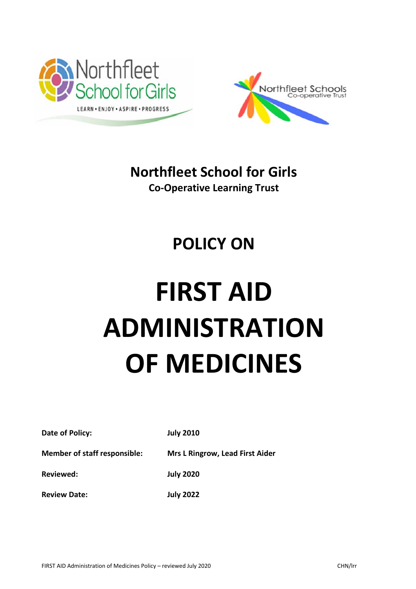



**Northfleet School for Girls Co-Operative Learning Trust**

# **POLICY ON**

# **FIRST AID ADMINISTRATION OF MEDICINES**

**Date of Policy: July 2010**

**Member of staff responsible: Mrs L Ringrow, Lead First Aider** 

**Reviewed: July 2020**

**Review Date: July 2022**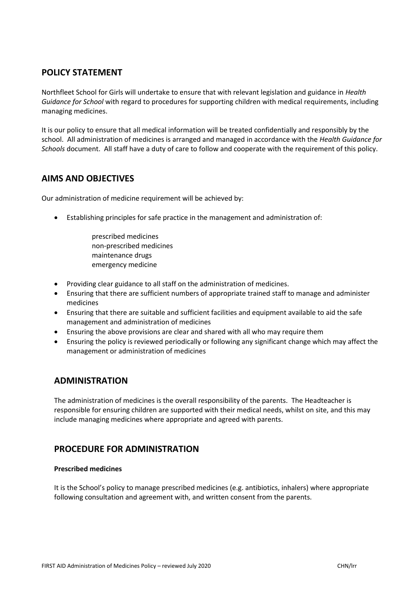# **POLICY STATEMENT**

Northfleet School for Girls will undertake to ensure that with relevant legislation and guidance in *Health Guidance for School* with regard to procedures for supporting children with medical requirements, including managing medicines.

It is our policy to ensure that all medical information will be treated confidentially and responsibly by the school. All administration of medicines is arranged and managed in accordance with the *Health Guidance for Schools* document. All staff have a duty of care to follow and cooperate with the requirement of this policy.

# **AIMS AND OBJECTIVES**

Our administration of medicine requirement will be achieved by:

- Establishing principles for safe practice in the management and administration of:
	- prescribed medicines non-prescribed medicines maintenance drugs emergency medicine
- Providing clear guidance to all staff on the administration of medicines.
- Ensuring that there are sufficient numbers of appropriate trained staff to manage and administer medicines
- Ensuring that there are suitable and sufficient facilities and equipment available to aid the safe management and administration of medicines
- Ensuring the above provisions are clear and shared with all who may require them
- Ensuring the policy is reviewed periodically or following any significant change which may affect the management or administration of medicines

# **ADMINISTRATION**

The administration of medicines is the overall responsibility of the parents. The Headteacher is responsible for ensuring children are supported with their medical needs, whilst on site, and this may include managing medicines where appropriate and agreed with parents.

# **PROCEDURE FOR ADMINISTRATION**

#### **Prescribed medicines**

It is the School's policy to manage prescribed medicines (e.g. antibiotics, inhalers) where appropriate following consultation and agreement with, and written consent from the parents.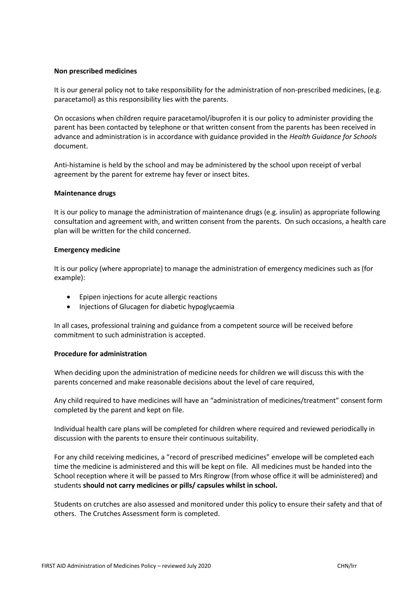#### **Non prescribed medicines**

It is our general policy not to take responsibility for the administration of non-prescribed medicines, (e.g. paracetamol) as this responsibility lies with the parents.

On occasions when children require paracetamol/ibuprofen it is our policy to administer providing the parent has been contacted by telephone or that written consent from the parents has been received in advance and administration is in accordance with guidance provided in the *Health Guidance for Schools* document.

Anti-histamine is held by the school and may be administered by the school upon receipt of verbal agreement by the parent for extreme hay fever or insect bites.

#### **Maintenance drugs**

It is our policy to manage the administration of maintenance drugs (e.g. insulin) as appropriate following consultation and agreement with, and written consent from the parents. On such occasions, a health care plan will be written for the child concerned.

#### **Emergency medicine**

It is our policy (where appropriate) to manage the administration of emergency medicines such as (for example):

- Epipen injections for acute allergic reactions
- Injections of Glucagen for diabetic hypoglycaemia

In all cases, professional training and guidance from a competent source will be received before commitment to such administration is accepted.

#### **Procedure for administration**

When deciding upon the administration of medicine needs for children we will discuss this with the parents concerned and make reasonable decisions about the level of care required,

Any child required to have medicines will have an "administration of medicines/treatment" consent form completed by the parent and kept on file.

Individual health care plans will be completed for children where required and reviewed periodically in discussion with the parents to ensure their continuous suitability.

For any child receiving medicines, a "record of prescribed medicines" envelope will be completed each time the medicine is administered and this will be kept on file. All medicines must be handed into the School reception where it will be passed to Mrs Ringrow (from whose office it will be administered) and students **should not carry medicines or pills/ capsules whilst in school.**

Students on crutches are also assessed and monitored under this policy to ensure their safety and that of others. The Crutches Assessment form is completed.